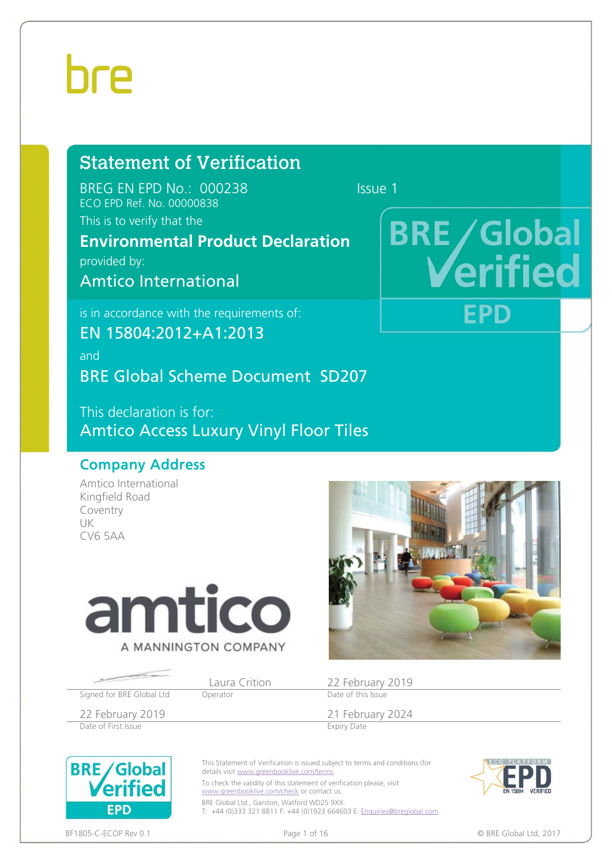#### Statement of Verification

BREG EN EPD No.: 000238 ECO EPD Ref. No. 00000838

This is to verify that the

#### **Environmental Product Declaration**

provided by:

Amtico International

is in accordance with the requirements of:

EN 15804:2012+A1:2013

and BRE Global Scheme Document SD207

This declaration is for: Amtico Access Luxury Vinyl Floor Tiles

#### Company Address

Amtico International Kingfield Road Coventry UK CV6 5AA



Signed for BRE Global Ltd Operator

Laura Crition 22 February 2019<br>
Date of this Issue

22 February 2019<br>
Date of First Issue<br>
Expiry Date of First Issue Date of First Issue

**BRE/Global** Verified

**FPD** 

This Statement of Verification is issued subject to terms and conditions (for details visit www.greenbooklive.com/terms.

To check the validity of this statement of verification please, visit www.greenbooklive.com/check or contact us.

BRE Global Ltd., Garston, Watford WD25 9XX. T: +44 (0)333 321 8811 F: +44 (0)1923 664603 E: Enquiries@breglobal.com



BF1805-C-ECOP Rev 0.1 **Details a contract that the contract of 16** and the contract of 16 **CD** BRE Global Ltd, 2017

### **BRE/Global** rifie

FPD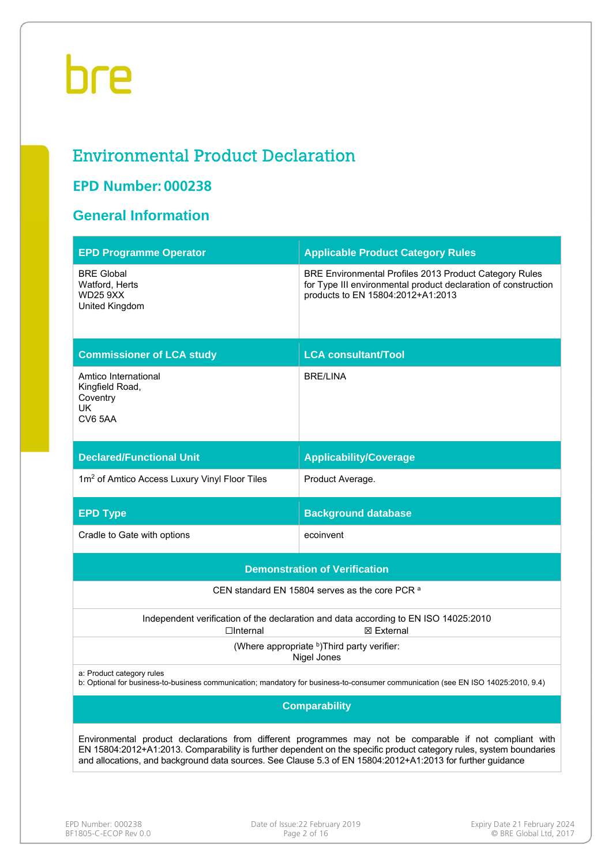#### Environmental Product Declaration

#### **EPD Number: 000238**

#### **General Information**

| <b>EPD Programme Operator</b>                                                                                                                                  | <b>Applicable Product Category Rules</b>                                                                                                                                                                                                                                                                                                      |  |  |  |  |  |
|----------------------------------------------------------------------------------------------------------------------------------------------------------------|-----------------------------------------------------------------------------------------------------------------------------------------------------------------------------------------------------------------------------------------------------------------------------------------------------------------------------------------------|--|--|--|--|--|
| <b>BRE Global</b><br>Watford, Herts<br><b>WD25 9XX</b><br>United Kingdom                                                                                       | BRE Environmental Profiles 2013 Product Category Rules<br>for Type III environmental product declaration of construction<br>products to EN 15804:2012+A1:2013                                                                                                                                                                                 |  |  |  |  |  |
| <b>Commissioner of LCA study</b>                                                                                                                               | <b>LCA consultant/Tool</b>                                                                                                                                                                                                                                                                                                                    |  |  |  |  |  |
| Amtico International<br>Kingfield Road,<br>Coventry<br>UK<br>CV6 5AA                                                                                           | <b>BRE/LINA</b>                                                                                                                                                                                                                                                                                                                               |  |  |  |  |  |
| <b>Declared/Functional Unit</b>                                                                                                                                | <b>Applicability/Coverage</b>                                                                                                                                                                                                                                                                                                                 |  |  |  |  |  |
| 1m <sup>2</sup> of Amtico Access Luxury Vinyl Floor Tiles                                                                                                      | Product Average.                                                                                                                                                                                                                                                                                                                              |  |  |  |  |  |
| <b>EPD Type</b>                                                                                                                                                | <b>Background database</b>                                                                                                                                                                                                                                                                                                                    |  |  |  |  |  |
| Cradle to Gate with options                                                                                                                                    | ecoinvent                                                                                                                                                                                                                                                                                                                                     |  |  |  |  |  |
|                                                                                                                                                                | <b>Demonstration of Verification</b>                                                                                                                                                                                                                                                                                                          |  |  |  |  |  |
|                                                                                                                                                                | CEN standard EN 15804 serves as the core PCR a                                                                                                                                                                                                                                                                                                |  |  |  |  |  |
| $\Box$ Internal                                                                                                                                                | Independent verification of the declaration and data according to EN ISO 14025:2010<br>⊠ External                                                                                                                                                                                                                                             |  |  |  |  |  |
|                                                                                                                                                                | (Where appropriate b)Third party verifier:<br>Nigel Jones                                                                                                                                                                                                                                                                                     |  |  |  |  |  |
| a: Product category rules<br>b: Optional for business-to-business communication; mandatory for business-to-consumer communication (see EN ISO 14025:2010, 9.4) |                                                                                                                                                                                                                                                                                                                                               |  |  |  |  |  |
|                                                                                                                                                                | <b>Comparability</b>                                                                                                                                                                                                                                                                                                                          |  |  |  |  |  |
|                                                                                                                                                                | Environmental product declarations from different programmes may not be comparable if not compliant with<br>EN 15804:2012+A1:2013. Comparability is further dependent on the specific product category rules, system boundaries<br>and allocations, and background data sources. See Clause 5.3 of EN 15804:2012+A1:2013 for further guidance |  |  |  |  |  |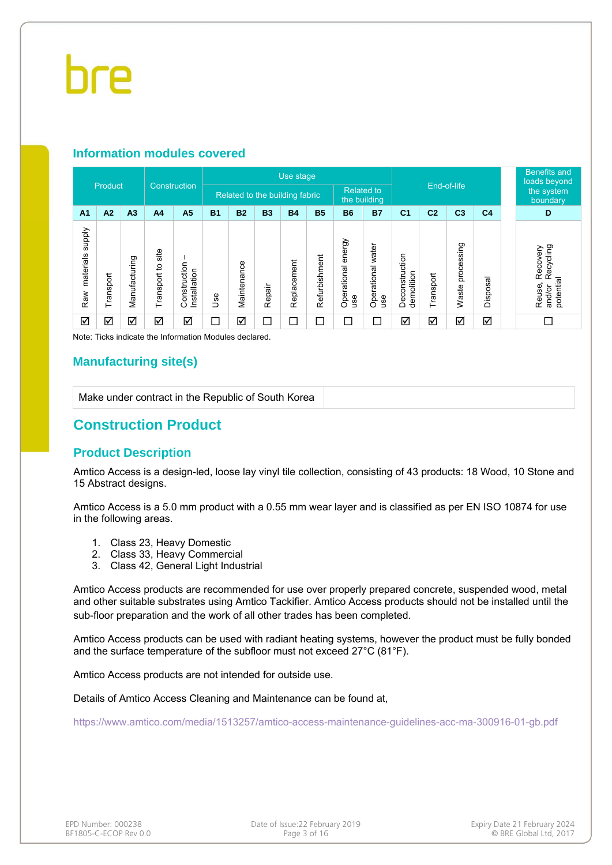#### **Information modules covered**

|                                  | Product   |                | Construction         |                              | Use stage |                                |           |             |               |                              |                          |                              |                |                     |                | <b>Benefits and</b><br>loads beyond |                                                        |
|----------------------------------|-----------|----------------|----------------------|------------------------------|-----------|--------------------------------|-----------|-------------|---------------|------------------------------|--------------------------|------------------------------|----------------|---------------------|----------------|-------------------------------------|--------------------------------------------------------|
|                                  |           |                |                      |                              |           | Related to the building fabric |           |             |               | <b>Related to</b>            | the building             | End-of-life                  |                |                     |                |                                     | the system<br>boundary                                 |
| A <sub>1</sub>                   | A2        | A <sub>3</sub> | A <sub>4</sub>       | A <sub>5</sub>               | <b>B1</b> | <b>B2</b>                      | <b>B3</b> | <b>B4</b>   | <b>B5</b>     | <b>B6</b>                    | <b>B7</b>                | C <sub>1</sub>               | C <sub>2</sub> | C <sub>3</sub>      | C <sub>4</sub> |                                     | D                                                      |
| <b>Addns</b><br>materials<br>Raw | Transport | Manufacturing  | site<br>Transport to | Construction<br>Installation | 9se       | Maintenance                    | Repair    | Replacement | Refurbishment | energy<br>Operational<br>use | Operational water<br>use | Deconstruction<br>demolition | Transport      | processing<br>Waste | Disposal       |                                     | Recycling<br>Recovery<br>potential<br>Reuse,<br>and/or |
| ☑                                | ☑         | ☑              | ☑                    | ☑                            | ⊐         | ☑                              | $\Box$    | $\Box$      | П             | $\Box$                       | С                        | ☑                            | ☑              | ☑                   | ☑              |                                     |                                                        |

Note: Ticks indicate the Information Modules declared.

#### **Manufacturing site(s)**

Make under contract in the Republic of South Korea

#### **Construction Product**

#### **Product Description**

Amtico Access is a design-led, loose lay vinyl tile collection, consisting of 43 products: 18 Wood, 10 Stone and 15 Abstract designs.

Amtico Access is a 5.0 mm product with a 0.55 mm wear layer and is classified as per EN ISO 10874 for use in the following areas.

- 1. Class 23, Heavy Domestic
- 2. Class 33, Heavy Commercial
- 3. Class 42, General Light Industrial

Amtico Access products are recommended for use over properly prepared concrete, suspended wood, metal and other suitable substrates using Amtico Tackifier. Amtico Access products should not be installed until the sub-floor preparation and the work of all other trades has been completed.

Amtico Access products can be used with radiant heating systems, however the product must be fully bonded and the surface temperature of the subfloor must not exceed 27°C (81°F).

Amtico Access products are not intended for outside use.

Details of Amtico Access Cleaning and Maintenance can be found at,

https://www.amtico.com/media/1513257/amtico-access-maintenance-guidelines-acc-ma-300916-01-gb.pdf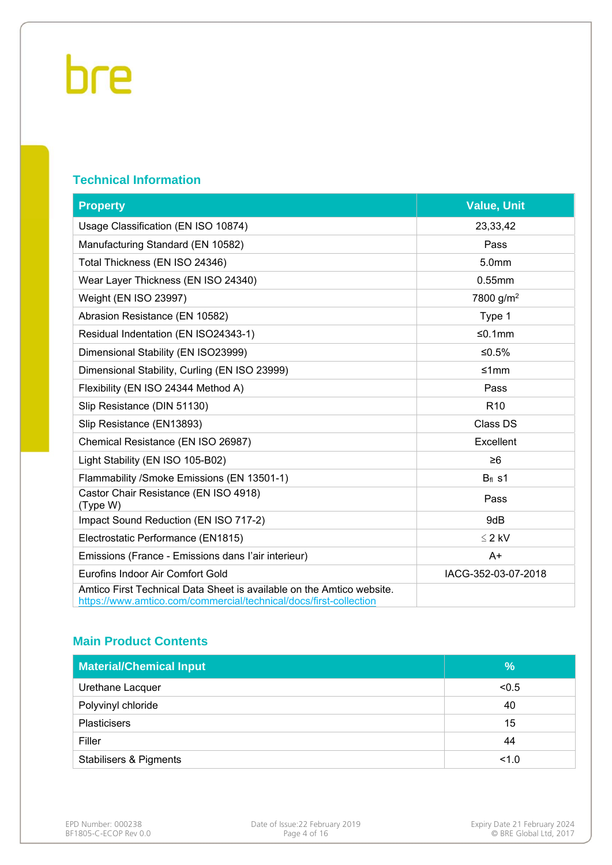#### **Technical Information**

| <b>Property</b>                                                                                                                            | <b>Value, Unit</b>    |
|--------------------------------------------------------------------------------------------------------------------------------------------|-----------------------|
| Usage Classification (EN ISO 10874)                                                                                                        | 23,33,42              |
| Manufacturing Standard (EN 10582)                                                                                                          | Pass                  |
| Total Thickness (EN ISO 24346)                                                                                                             | 5.0mm                 |
| Wear Layer Thickness (EN ISO 24340)                                                                                                        | 0.55mm                |
| Weight (EN ISO 23997)                                                                                                                      | 7800 g/m <sup>2</sup> |
| Abrasion Resistance (EN 10582)                                                                                                             | Type 1                |
| Residual Indentation (EN ISO24343-1)                                                                                                       | ≤0.1mm                |
| Dimensional Stability (EN ISO23999)                                                                                                        | $≤0.5%$               |
| Dimensional Stability, Curling (EN ISO 23999)                                                                                              | ≤1mm                  |
| Flexibility (EN ISO 24344 Method A)                                                                                                        | Pass                  |
| Slip Resistance (DIN 51130)                                                                                                                | R <sub>10</sub>       |
| Slip Resistance (EN13893)                                                                                                                  | Class DS              |
| Chemical Resistance (EN ISO 26987)                                                                                                         | Excellent             |
| Light Stability (EN ISO 105-B02)                                                                                                           | $\geq 6$              |
| Flammability /Smoke Emissions (EN 13501-1)                                                                                                 | $Bf$ s1               |
| Castor Chair Resistance (EN ISO 4918)<br>(Type W)                                                                                          | Pass                  |
| Impact Sound Reduction (EN ISO 717-2)                                                                                                      | 9dB                   |
| Electrostatic Performance (EN1815)                                                                                                         | $\leq$ 2 kV           |
| Emissions (France - Emissions dans l'air interieur)                                                                                        | $A+$                  |
| Eurofins Indoor Air Comfort Gold                                                                                                           | IACG-352-03-07-2018   |
| Amtico First Technical Data Sheet is available on the Amtico website.<br>https://www.amtico.com/commercial/technical/docs/first-collection |                       |

#### **Main Product Contents**

| <b>Material/Chemical Input</b>    | $\frac{9}{6}$ |
|-----------------------------------|---------------|
| Urethane Lacquer                  | < 0.5         |
| Polyvinyl chloride                | 40            |
| <b>Plasticisers</b>               | 15            |
| Filler                            | 44            |
| <b>Stabilisers &amp; Pigments</b> | 1.0           |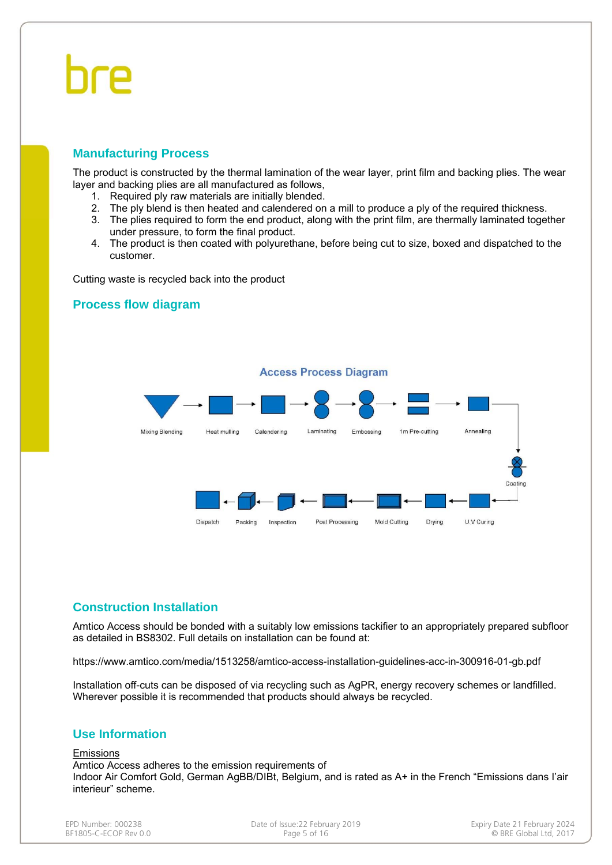#### **Manufacturing Process**

The product is constructed by the thermal lamination of the wear layer, print film and backing plies. The wear layer and backing plies are all manufactured as follows,

- 1. Required ply raw materials are initially blended.
- 2. The ply blend is then heated and calendered on a mill to produce a ply of the required thickness.
- 3. The plies required to form the end product, along with the print film, are thermally laminated together under pressure, to form the final product.
- 4. The product is then coated with polyurethane, before being cut to size, boxed and dispatched to the customer.

Cutting waste is recycled back into the product

#### **Process flow diagram**



#### **Construction Installation**

Amtico Access should be bonded with a suitably low emissions tackifier to an appropriately prepared subfloor as detailed in BS8302. Full details on installation can be found at:

https://www.amtico.com/media/1513258/amtico-access-installation-guidelines-acc-in-300916-01-gb.pdf

Installation off-cuts can be disposed of via recycling such as AgPR, energy recovery schemes or landfilled. Wherever possible it is recommended that products should always be recycled.

#### **Use Information**

Emissions

Amtico Access adheres to the emission requirements of Indoor Air Comfort Gold, German AgBB/DIBt, Belgium, and is rated as A+ in the French "Emissions dans I'air interieur" scheme.

BF1805-C-ECOP Rev 0.0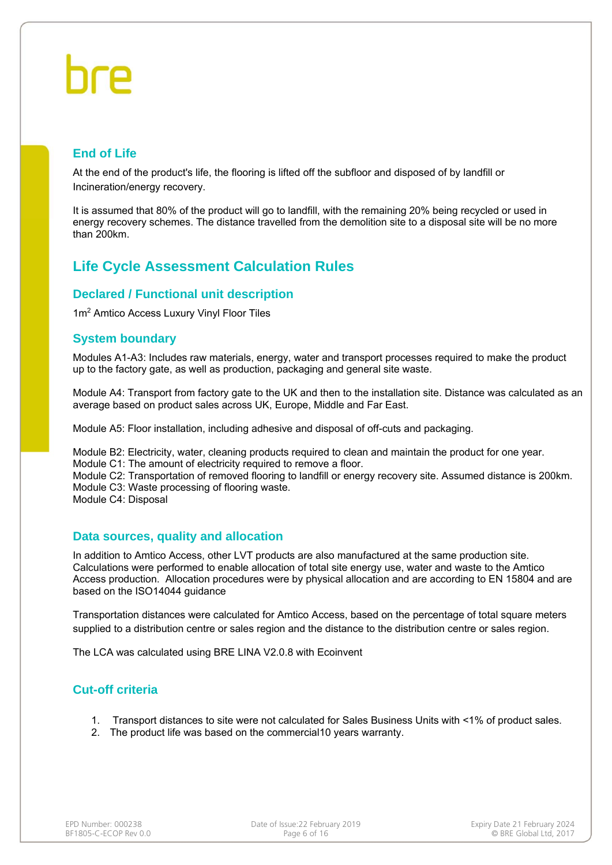#### **End of Life**

At the end of the product's life, the flooring is lifted off the subfloor and disposed of by landfill or Incineration/energy recovery.

It is assumed that 80% of the product will go to landfill, with the remaining 20% being recycled or used in energy recovery schemes. The distance travelled from the demolition site to a disposal site will be no more than 200km.

#### **Life Cycle Assessment Calculation Rules**

#### **Declared / Functional unit description**

1m2 Amtico Access Luxury Vinyl Floor Tiles

#### **System boundary**

Modules A1-A3: Includes raw materials, energy, water and transport processes required to make the product up to the factory gate, as well as production, packaging and general site waste.

Module A4: Transport from factory gate to the UK and then to the installation site. Distance was calculated as an average based on product sales across UK, Europe, Middle and Far East.

Module A5: Floor installation, including adhesive and disposal of off-cuts and packaging.

Module B2: Electricity, water, cleaning products required to clean and maintain the product for one year. Module C1: The amount of electricity required to remove a floor.

Module C2: Transportation of removed flooring to landfill or energy recovery site. Assumed distance is 200km. Module C3: Waste processing of flooring waste.

Module C4: Disposal

#### **Data sources, quality and allocation**

In addition to Amtico Access, other LVT products are also manufactured at the same production site. Calculations were performed to enable allocation of total site energy use, water and waste to the Amtico Access production. Allocation procedures were by physical allocation and are according to EN 15804 and are based on the ISO14044 guidance

Transportation distances were calculated for Amtico Access, based on the percentage of total square meters supplied to a distribution centre or sales region and the distance to the distribution centre or sales region.

The LCA was calculated using BRE LINA V2.0.8 with Ecoinvent

#### **Cut-off criteria**

- 1. Transport distances to site were not calculated for Sales Business Units with <1% of product sales.
- 2. The product life was based on the commercial10 years warranty.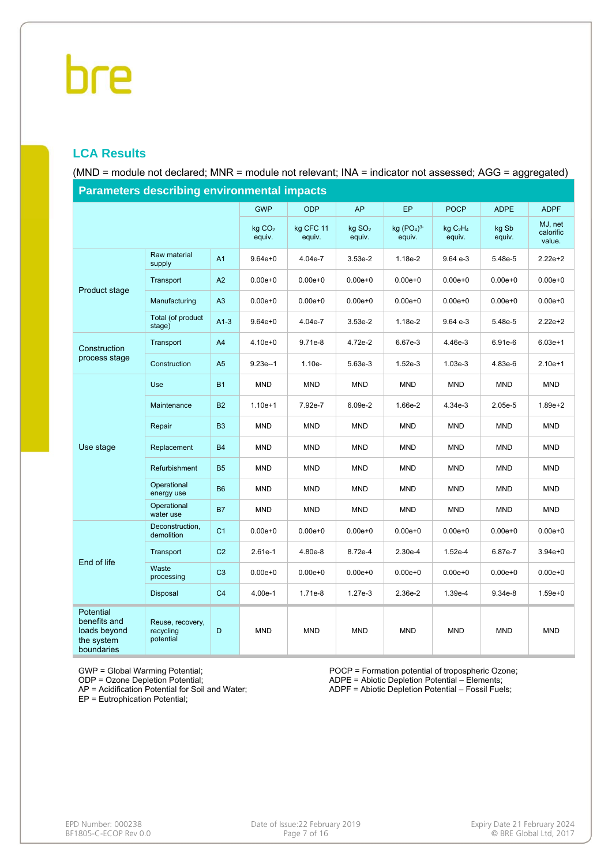#### **LCA Results**

(MND = module not declared; MNR = module not relevant; INA = indicator not assessed; AGG = aggregated)

| Parameters describing environmental impacts                           |                                            |                |                              |                     |                              |                        |                                           |                 |                                |  |
|-----------------------------------------------------------------------|--------------------------------------------|----------------|------------------------------|---------------------|------------------------------|------------------------|-------------------------------------------|-----------------|--------------------------------|--|
|                                                                       |                                            |                | <b>GWP</b>                   | <b>ODP</b>          | <b>AP</b>                    | <b>EP</b>              | <b>POCP</b>                               | <b>ADPE</b>     | <b>ADPF</b>                    |  |
|                                                                       |                                            |                | kg CO <sub>2</sub><br>equiv. | kg CFC 11<br>equiv. | kg SO <sub>2</sub><br>equiv. | kg $(PO4)3-$<br>equiv. | kgC <sub>2</sub> H <sub>4</sub><br>equiv. | kg Sb<br>equiv. | MJ, net<br>calorific<br>value. |  |
|                                                                       | Raw material<br>supply                     | A <sub>1</sub> | $9.64e + 0$                  | 4.04e-7             | 3.53e-2                      | $1.18e-2$              | 9.64 e-3                                  | 5.48e-5         | $2.22e+2$                      |  |
| Product stage                                                         | Transport                                  | A2             | $0.00e + 0$                  | $0.00e + 0$         | $0.00e + 0$                  | $0.00e + 0$            | $0.00e + 0$                               | $0.00e + 0$     | $0.00e + 0$                    |  |
|                                                                       | Manufacturing                              | A3             | $0.00e + 0$                  | $0.00e + 0$         | $0.00e + 0$                  | $0.00e + 0$            | $0.00e + 0$                               | $0.00e + 0$     | $0.00e + 0$                    |  |
|                                                                       | Total (of product<br>stage)                | $A1-3$         | $9.64e + 0$                  | 4.04e-7             | 3.53e-2                      | 1.18e-2                | 9.64 e-3                                  | 5.48e-5         | 2.22e+2                        |  |
| Construction                                                          | Transport                                  | A <sub>4</sub> | $4.10e + 0$                  | 9.71e-8             | 4.72e-2                      | 6.67e-3                | 4.46e-3                                   | 6.91e-6         | $6.03e+1$                      |  |
| process stage                                                         | Construction                               | A <sub>5</sub> | $9.23e-1$                    | $1.10e-$            | 5.63e-3                      | $1.52e-3$              | 1.03e-3                                   | 4.83e-6         | $2.10e+1$                      |  |
|                                                                       | Use                                        | <b>B1</b>      | <b>MND</b>                   | <b>MND</b>          | <b>MND</b>                   | <b>MND</b>             | <b>MND</b>                                | <b>MND</b>      | <b>MND</b>                     |  |
|                                                                       | Maintenance                                | <b>B2</b>      | $1.10e + 1$                  | 7.92e-7             | 6.09e-2                      | 1.66e-2                | 4.34e-3                                   | $2.05e-5$       | $1.89e + 2$                    |  |
|                                                                       | Repair                                     | B <sub>3</sub> | <b>MND</b>                   | <b>MND</b>          | <b>MND</b>                   | <b>MND</b>             | <b>MND</b>                                | <b>MND</b>      | <b>MND</b>                     |  |
| Use stage                                                             | Replacement                                | <b>B4</b>      | <b>MND</b>                   | <b>MND</b>          | <b>MND</b>                   | <b>MND</b>             | <b>MND</b>                                | <b>MND</b>      | <b>MND</b>                     |  |
|                                                                       | Refurbishment                              | <b>B5</b>      | <b>MND</b>                   | <b>MND</b>          | <b>MND</b>                   | <b>MND</b>             | <b>MND</b>                                | <b>MND</b>      | <b>MND</b>                     |  |
|                                                                       | Operational<br>energy use                  | B <sub>6</sub> | MND                          | <b>MND</b>          | <b>MND</b>                   | MND                    | <b>MND</b>                                | <b>MND</b>      | <b>MND</b>                     |  |
|                                                                       | Operational<br>water use                   | <b>B7</b>      | <b>MND</b>                   | <b>MND</b>          | <b>MND</b>                   | <b>MND</b>             | <b>MND</b>                                | <b>MND</b>      | <b>MND</b>                     |  |
|                                                                       | Deconstruction,<br>demolition              | C <sub>1</sub> | $0.00e + 0$                  | $0.00e + 0$         | $0.00e + 0$                  | $0.00e + 0$            | $0.00e + 0$                               | $0.00e + 0$     | $0.00e + 0$                    |  |
|                                                                       | Transport                                  | C <sub>2</sub> | $2.61e-1$                    | 4.80e-8             | 8.72e-4                      | $2.30e-4$              | 1.52e-4                                   | 6.87e-7         | $3.94e + 0$                    |  |
| End of life                                                           | Waste<br>processing                        | C <sub>3</sub> | $0.00e + 0$                  | $0.00e + 0$         | $0.00e + 0$                  | $0.00e + 0$            | $0.00e + 0$                               | $0.00e + 0$     | $0.00e + 0$                    |  |
|                                                                       | Disposal                                   | C <sub>4</sub> | 4.00e-1                      | 1.71e-8             | 1.27e-3                      | 2.36e-2                | 1.39e-4                                   | $9.34e-8$       | $1.59e + 0$                    |  |
| Potential<br>benefits and<br>loads beyond<br>the system<br>boundaries | Reuse, recovery,<br>recycling<br>potential | D              | <b>MND</b>                   | <b>MND</b>          | <b>MND</b>                   | <b>MND</b>             | <b>MND</b>                                | <b>MND</b>      | <b>MND</b>                     |  |

**Parameters describing environmental impacts**

GWP = Global Warming Potential;

ODP = Ozone Depletion Potential;

AP = Acidification Potential for Soil and Water;

EP = Eutrophication Potential;

POCP = Formation potential of tropospheric Ozone; ADPE = Abiotic Depletion Potential – Elements;

ADPF = Abiotic Depletion Potential – Fossil Fuels;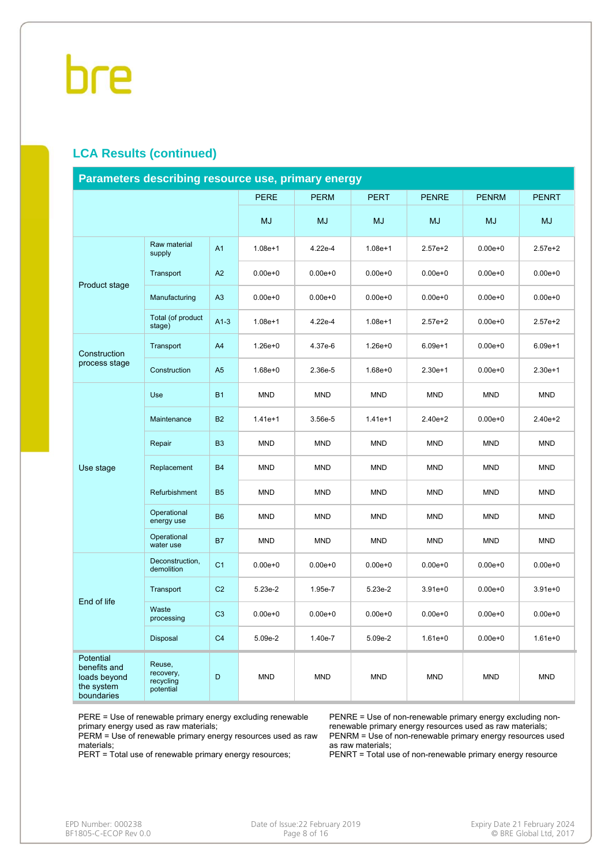#### **LCA Results (continued)**

| Parameters describing resource use, primary energy                    |                                                                                                                                                                                                                                                                                                                                                                                                                                                                                                                                                                                                                                                                                                                                                                                                                                                                                                                                                                  |             |             |             |             |              |              |              |  |  |
|-----------------------------------------------------------------------|------------------------------------------------------------------------------------------------------------------------------------------------------------------------------------------------------------------------------------------------------------------------------------------------------------------------------------------------------------------------------------------------------------------------------------------------------------------------------------------------------------------------------------------------------------------------------------------------------------------------------------------------------------------------------------------------------------------------------------------------------------------------------------------------------------------------------------------------------------------------------------------------------------------------------------------------------------------|-------------|-------------|-------------|-------------|--------------|--------------|--------------|--|--|
|                                                                       |                                                                                                                                                                                                                                                                                                                                                                                                                                                                                                                                                                                                                                                                                                                                                                                                                                                                                                                                                                  |             | <b>PERE</b> | <b>PERM</b> | <b>PERT</b> | <b>PENRE</b> | <b>PENRM</b> | <b>PENRT</b> |  |  |
|                                                                       |                                                                                                                                                                                                                                                                                                                                                                                                                                                                                                                                                                                                                                                                                                                                                                                                                                                                                                                                                                  |             | <b>MJ</b>   | <b>MJ</b>   | <b>MJ</b>   | <b>MJ</b>    | <b>MJ</b>    | <b>MJ</b>    |  |  |
|                                                                       | Raw material<br>supply                                                                                                                                                                                                                                                                                                                                                                                                                                                                                                                                                                                                                                                                                                                                                                                                                                                                                                                                           | A1          | $1.08e + 1$ | 4.22e-4     | $1.08e + 1$ | $2.57e + 2$  | $0.00e + 0$  | $2.57e+2$    |  |  |
|                                                                       | Transport                                                                                                                                                                                                                                                                                                                                                                                                                                                                                                                                                                                                                                                                                                                                                                                                                                                                                                                                                        | A2          | $0.00e + 0$ | $0.00e + 0$ | $0.00e + 0$ | $0.00e + 0$  | $0.00e + 0$  | $0.00e + 0$  |  |  |
|                                                                       | Manufacturing                                                                                                                                                                                                                                                                                                                                                                                                                                                                                                                                                                                                                                                                                                                                                                                                                                                                                                                                                    | A3          | $0.00e + 0$ | $0.00e + 0$ | $0.00e + 0$ | $0.00e + 0$  | $0.00e + 0$  | $0.00e + 0$  |  |  |
|                                                                       | Product stage<br>Total (of product<br>$A1-3$<br>$1.08e + 1$<br>4.22e-4<br>stage)<br>Transport<br>A4<br>$1.26e + 0$<br>4.37e-6<br>A <sub>5</sub><br>Construction<br>$1.68e + 0$<br>2.36e-5<br>Use<br><b>B1</b><br><b>MND</b><br><b>MND</b><br><b>B2</b><br>Maintenance<br>$1.41e+1$<br>3.56e-5<br><b>B3</b><br><b>MND</b><br><b>MND</b><br>Repair<br><b>B4</b><br><b>MND</b><br><b>MND</b><br>Replacement<br><b>B5</b><br>Refurbishment<br><b>MND</b><br><b>MND</b><br>Operational<br><b>B6</b><br><b>MND</b><br><b>MND</b><br>energy use<br>Operational<br><b>B7</b><br><b>MND</b><br><b>MND</b><br>water use<br>Deconstruction,<br>C <sub>1</sub><br>$0.00e + 0$<br>$0.00e + 0$<br>demolition<br>C <sub>2</sub><br>Transport<br>5.23e-2<br>1.95e-7<br>Waste<br>C <sub>3</sub><br>$0.00e + 0$<br>$0.00e + 0$<br>processing<br>C <sub>4</sub><br>Disposal<br>5.09e-2<br>1.40e-7<br>Reuse,<br>recovery,<br>D<br><b>MND</b><br><b>MND</b><br>recycling<br>potential | $1.08e + 1$ | $2.57e + 2$ | $0.00e + 0$ | $2.57e+2$   |              |              |              |  |  |
| Construction                                                          |                                                                                                                                                                                                                                                                                                                                                                                                                                                                                                                                                                                                                                                                                                                                                                                                                                                                                                                                                                  |             |             |             | $1.26e + 0$ | $6.09e + 1$  | $0.00e + 0$  | $6.09e + 1$  |  |  |
| process stage                                                         |                                                                                                                                                                                                                                                                                                                                                                                                                                                                                                                                                                                                                                                                                                                                                                                                                                                                                                                                                                  |             |             |             | $1.68e + 0$ | $2.30e+1$    | $0.00e + 0$  | $2.30e+1$    |  |  |
|                                                                       |                                                                                                                                                                                                                                                                                                                                                                                                                                                                                                                                                                                                                                                                                                                                                                                                                                                                                                                                                                  |             |             |             | <b>MND</b>  | <b>MND</b>   | <b>MND</b>   | <b>MND</b>   |  |  |
|                                                                       |                                                                                                                                                                                                                                                                                                                                                                                                                                                                                                                                                                                                                                                                                                                                                                                                                                                                                                                                                                  |             |             |             | $1.41e+1$   | $2.40e + 2$  | $0.00e + 0$  | $2.40e + 2$  |  |  |
|                                                                       |                                                                                                                                                                                                                                                                                                                                                                                                                                                                                                                                                                                                                                                                                                                                                                                                                                                                                                                                                                  |             |             |             | <b>MND</b>  | <b>MND</b>   | <b>MND</b>   | <b>MND</b>   |  |  |
| Use stage                                                             |                                                                                                                                                                                                                                                                                                                                                                                                                                                                                                                                                                                                                                                                                                                                                                                                                                                                                                                                                                  |             |             |             | <b>MND</b>  | <b>MND</b>   | <b>MND</b>   | <b>MND</b>   |  |  |
|                                                                       |                                                                                                                                                                                                                                                                                                                                                                                                                                                                                                                                                                                                                                                                                                                                                                                                                                                                                                                                                                  |             |             |             | <b>MND</b>  | <b>MND</b>   | <b>MND</b>   | <b>MND</b>   |  |  |
|                                                                       |                                                                                                                                                                                                                                                                                                                                                                                                                                                                                                                                                                                                                                                                                                                                                                                                                                                                                                                                                                  |             |             |             | <b>MND</b>  | <b>MND</b>   | <b>MND</b>   | <b>MND</b>   |  |  |
|                                                                       |                                                                                                                                                                                                                                                                                                                                                                                                                                                                                                                                                                                                                                                                                                                                                                                                                                                                                                                                                                  |             |             |             | <b>MND</b>  | <b>MND</b>   | <b>MND</b>   | <b>MND</b>   |  |  |
|                                                                       |                                                                                                                                                                                                                                                                                                                                                                                                                                                                                                                                                                                                                                                                                                                                                                                                                                                                                                                                                                  |             |             |             | $0.00e + 0$ | $0.00e + 0$  | $0.00e + 0$  | $0.00e + 0$  |  |  |
| End of life                                                           |                                                                                                                                                                                                                                                                                                                                                                                                                                                                                                                                                                                                                                                                                                                                                                                                                                                                                                                                                                  |             |             |             | 5.23e-2     | $3.91e + 0$  | $0.00e + 0$  | $3.91e + 0$  |  |  |
|                                                                       |                                                                                                                                                                                                                                                                                                                                                                                                                                                                                                                                                                                                                                                                                                                                                                                                                                                                                                                                                                  |             |             |             | $0.00e + 0$ | $0.00e + 0$  | $0.00e + 0$  | $0.00e + 0$  |  |  |
|                                                                       |                                                                                                                                                                                                                                                                                                                                                                                                                                                                                                                                                                                                                                                                                                                                                                                                                                                                                                                                                                  |             |             |             | 5.09e-2     | $1.61e + 0$  | $0.00e + 0$  | $1.61e + 0$  |  |  |
| Potential<br>benefits and<br>loads beyond<br>the system<br>boundaries |                                                                                                                                                                                                                                                                                                                                                                                                                                                                                                                                                                                                                                                                                                                                                                                                                                                                                                                                                                  |             |             |             | <b>MND</b>  | <b>MND</b>   | <b>MND</b>   | <b>MND</b>   |  |  |

PERE = Use of renewable primary energy excluding renewable primary energy used as raw materials;

PERM = Use of renewable primary energy resources used as raw materials;

PERT = Total use of renewable primary energy resources;

PENRE = Use of non-renewable primary energy excluding nonrenewable primary energy resources used as raw materials; PENRM = Use of non-renewable primary energy resources used as raw materials;

PENRT = Total use of non-renewable primary energy resource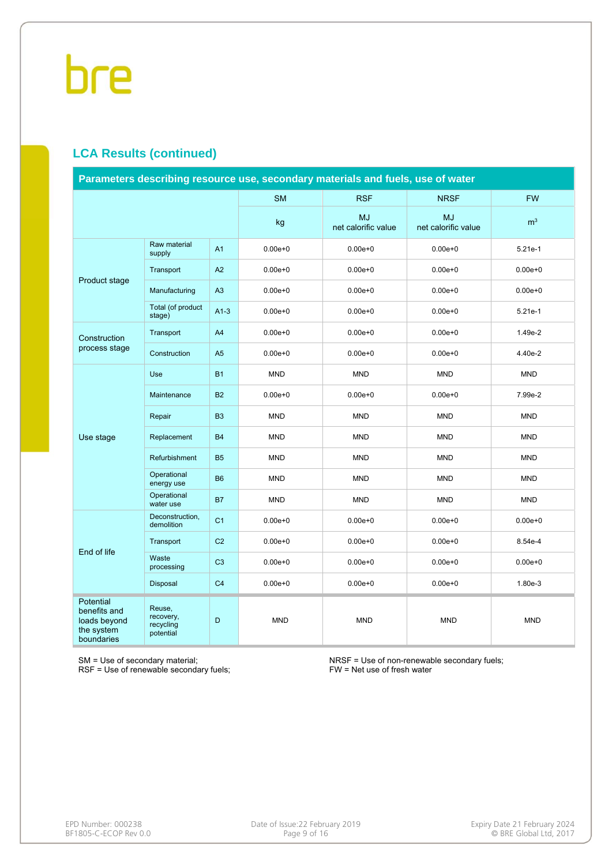#### **LCA Results (continued)**

| Parameters describing resource use, secondary materials and fuels, use of water |                                               |                |             |                                  |                                  |                |  |  |
|---------------------------------------------------------------------------------|-----------------------------------------------|----------------|-------------|----------------------------------|----------------------------------|----------------|--|--|
|                                                                                 |                                               |                | <b>SM</b>   | <b>RSF</b>                       | <b>NRSF</b>                      | <b>FW</b>      |  |  |
|                                                                                 |                                               |                | kg          | <b>MJ</b><br>net calorific value | <b>MJ</b><br>net calorific value | m <sup>3</sup> |  |  |
|                                                                                 | Raw material<br>supply                        | A <sub>1</sub> | $0.00e + 0$ | $0.00e + 0$                      | $0.00e + 0$                      | 5.21e-1        |  |  |
| Product stage                                                                   | Transport                                     | A2             | $0.00e + 0$ | $0.00e + 0$                      | $0.00e + 0$                      | $0.00e + 0$    |  |  |
|                                                                                 | Manufacturing                                 | A3             | $0.00e + 0$ | $0.00e + 0$                      | $0.00e + 0$                      | $0.00e + 0$    |  |  |
|                                                                                 | Total (of product<br>stage)                   | $A1-3$         | $0.00e + 0$ | $0.00e + 0$                      | $0.00e + 0$                      | $5.21e-1$      |  |  |
| Construction                                                                    | Transport                                     | A <sub>4</sub> | $0.00e + 0$ | $0.00e + 0$                      | $0.00e + 0$                      | 1.49e-2        |  |  |
| process stage                                                                   | Construction                                  | A <sub>5</sub> | $0.00e + 0$ | $0.00e + 0$                      | $0.00e + 0$                      | 4.40e-2        |  |  |
|                                                                                 | Use                                           | <b>B1</b>      | <b>MND</b>  | <b>MND</b>                       | <b>MND</b>                       | <b>MND</b>     |  |  |
|                                                                                 | Maintenance                                   | <b>B2</b>      | $0.00e + 0$ | $0.00e + 0$                      | $0.00e + 0$                      | 7.99e-2        |  |  |
|                                                                                 | Repair                                        | <b>B3</b>      | <b>MND</b>  | <b>MND</b>                       | <b>MND</b>                       | <b>MND</b>     |  |  |
| Use stage                                                                       | Replacement                                   | <b>B4</b>      | <b>MND</b>  | <b>MND</b>                       | <b>MND</b>                       | <b>MND</b>     |  |  |
|                                                                                 | Refurbishment                                 | <b>B5</b>      | <b>MND</b>  | <b>MND</b>                       | <b>MND</b>                       | <b>MND</b>     |  |  |
|                                                                                 | Operational<br>energy use                     | <b>B6</b>      | <b>MND</b>  | <b>MND</b>                       | <b>MND</b>                       | <b>MND</b>     |  |  |
|                                                                                 | Operational<br>water use                      | <b>B7</b>      | <b>MND</b>  | <b>MND</b>                       | <b>MND</b>                       | <b>MND</b>     |  |  |
|                                                                                 | Deconstruction,<br>demolition                 | C <sub>1</sub> | $0.00e + 0$ | $0.00e + 0$                      | $0.00e + 0$                      | $0.00e + 0$    |  |  |
| End of life                                                                     | Transport                                     | C <sub>2</sub> | $0.00e + 0$ | $0.00e + 0$                      | $0.00e + 0$                      | 8.54e-4        |  |  |
|                                                                                 | Waste<br>processing                           | C <sub>3</sub> | $0.00e + 0$ | $0.00e + 0$                      | $0.00e + 0$                      | $0.00e + 0$    |  |  |
|                                                                                 | Disposal                                      | C <sub>4</sub> | $0.00e + 0$ | $0.00e + 0$                      | $0.00e + 0$                      | 1.80e-3        |  |  |
| <b>Potential</b><br>benefits and<br>loads beyond<br>the system<br>boundaries    | Reuse,<br>recovery,<br>recycling<br>potential | D              | <b>MND</b>  | <b>MND</b>                       | <b>MND</b>                       | <b>MND</b>     |  |  |

SM = Use of secondary material;

RSF = Use of renewable secondary fuels;

NRSF = Use of non-renewable secondary fuels; FW = Net use of fresh water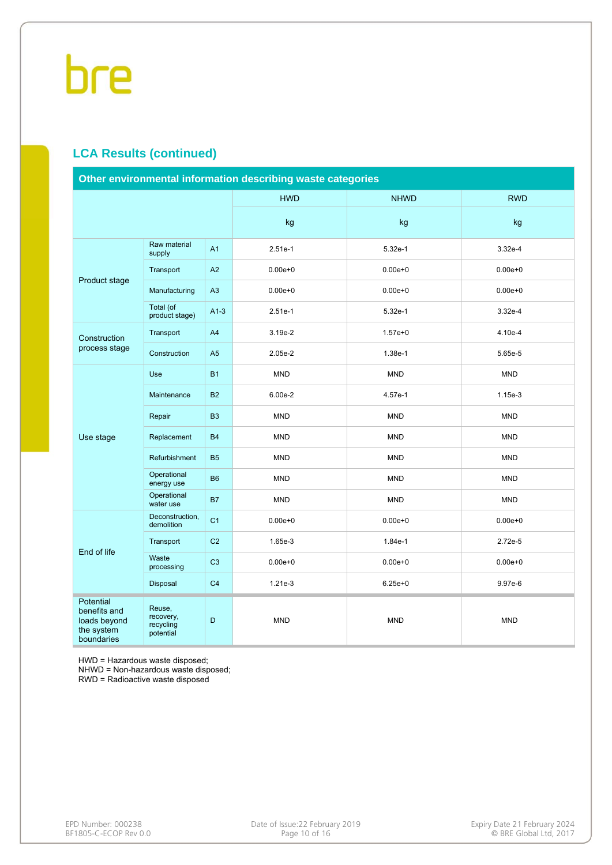#### **LCA Results (continued)**

| Other environmental information describing waste categories                  |                                               |                |             |             |             |  |  |
|------------------------------------------------------------------------------|-----------------------------------------------|----------------|-------------|-------------|-------------|--|--|
|                                                                              |                                               |                | <b>HWD</b>  | <b>NHWD</b> | <b>RWD</b>  |  |  |
|                                                                              |                                               |                | kg          | kg          | kg          |  |  |
|                                                                              | Raw material<br>supply                        | A1             | $2.51e-1$   | 5.32e-1     | 3.32e-4     |  |  |
| Product stage                                                                | Transport                                     | A2             | $0.00e + 0$ | $0.00e + 0$ | $0.00e + 0$ |  |  |
|                                                                              | Manufacturing                                 | A3             | $0.00e + 0$ | $0.00e + 0$ | $0.00e + 0$ |  |  |
|                                                                              | Total (of<br>product stage)                   | $A1-3$         | $2.51e-1$   | $5.32e-1$   | $3.32e-4$   |  |  |
| Construction                                                                 | Transport                                     | A4             | 3.19e-2     | $1.57e + 0$ | 4.10e-4     |  |  |
| process stage                                                                | Construction                                  | A <sub>5</sub> | 2.05e-2     | 1.38e-1     | 5.65e-5     |  |  |
|                                                                              | Use                                           | <b>B1</b>      | <b>MND</b>  | <b>MND</b>  | <b>MND</b>  |  |  |
|                                                                              | Maintenance                                   | <b>B2</b>      | 6.00e-2     | 4.57e-1     | 1.15e-3     |  |  |
|                                                                              | Repair                                        | B <sub>3</sub> | <b>MND</b>  | <b>MND</b>  | <b>MND</b>  |  |  |
| Use stage                                                                    | Replacement                                   | <b>B4</b>      | <b>MND</b>  | <b>MND</b>  | <b>MND</b>  |  |  |
|                                                                              | Refurbishment                                 | <b>B5</b>      | <b>MND</b>  | <b>MND</b>  | <b>MND</b>  |  |  |
|                                                                              | Operational<br>energy use                     | <b>B6</b>      | <b>MND</b>  | <b>MND</b>  | <b>MND</b>  |  |  |
|                                                                              | Operational<br>water use                      | <b>B7</b>      | <b>MND</b>  | <b>MND</b>  | <b>MND</b>  |  |  |
|                                                                              | Deconstruction.<br>demolition                 | C <sub>1</sub> | $0.00e + 0$ | $0.00e + 0$ | $0.00e + 0$ |  |  |
| End of life                                                                  | Transport                                     | C <sub>2</sub> | 1.65e-3     | 1.84e-1     | 2.72e-5     |  |  |
|                                                                              | Waste<br>processing                           | C <sub>3</sub> | $0.00e + 0$ | $0.00e + 0$ | $0.00e + 0$ |  |  |
|                                                                              | Disposal                                      | C <sub>4</sub> | $1.21e-3$   | $6.25e + 0$ | 9.97e-6     |  |  |
| <b>Potential</b><br>benefits and<br>loads beyond<br>the system<br>boundaries | Reuse,<br>recovery,<br>recycling<br>potential | D              | <b>MND</b>  | <b>MND</b>  | <b>MND</b>  |  |  |

HWD = Hazardous waste disposed;

NHWD = Non-hazardous waste disposed;

RWD = Radioactive waste disposed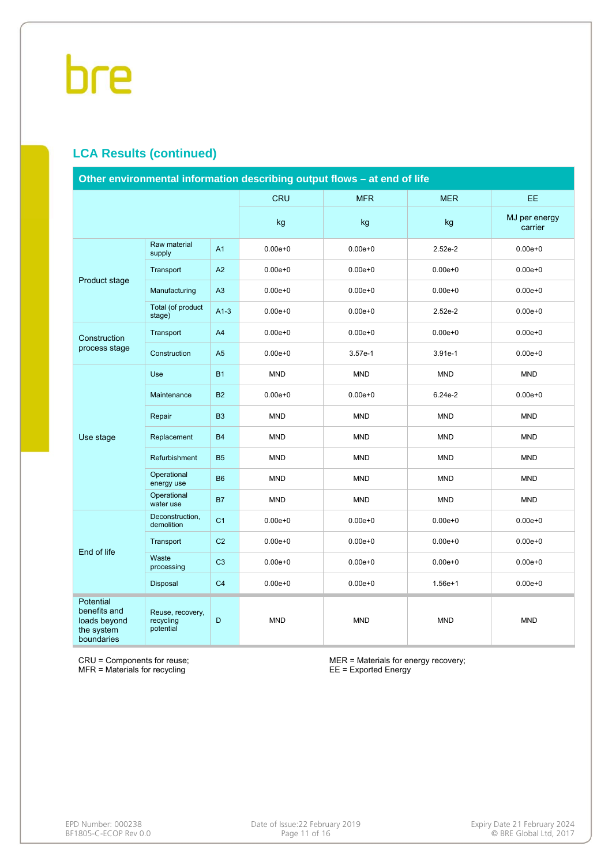#### **LCA Results (continued)**

| Other environmental information describing output flows - at end of life |                                            |                |             |             |             |                          |  |  |
|--------------------------------------------------------------------------|--------------------------------------------|----------------|-------------|-------------|-------------|--------------------------|--|--|
|                                                                          |                                            |                | <b>CRU</b>  | <b>MFR</b>  | <b>MER</b>  | <b>EE</b>                |  |  |
|                                                                          |                                            |                | kg          | kg          | kg          | MJ per energy<br>carrier |  |  |
|                                                                          | Raw material<br>supply                     | A <sub>1</sub> | $0.00e + 0$ | $0.00e + 0$ | $2.52e-2$   | $0.00e + 0$              |  |  |
| Product stage                                                            | Transport                                  | A2             | $0.00e + 0$ | $0.00e + 0$ | $0.00e + 0$ | $0.00e + 0$              |  |  |
|                                                                          | Manufacturing                              | A3             | $0.00e + 0$ | $0.00e + 0$ | $0.00e + 0$ | $0.00e + 0$              |  |  |
|                                                                          | Total (of product<br>stage)                | $A1-3$         | $0.00e + 0$ | $0.00e + 0$ | $2.52e-2$   | $0.00e + 0$              |  |  |
| Construction                                                             | Transport                                  | A4             | $0.00e + 0$ | $0.00e + 0$ | $0.00e + 0$ | $0.00e + 0$              |  |  |
| process stage                                                            | Construction                               | A <sub>5</sub> | $0.00e + 0$ | $3.57e-1$   | $3.91e-1$   | $0.00e + 0$              |  |  |
|                                                                          | Use                                        | <b>B1</b>      | <b>MND</b>  | <b>MND</b>  | <b>MND</b>  | <b>MND</b>               |  |  |
|                                                                          | Maintenance                                | <b>B2</b>      | $0.00e + 0$ | $0.00e + 0$ | 6.24e-2     | $0.00e + 0$              |  |  |
|                                                                          | Repair                                     | <b>B3</b>      | <b>MND</b>  | <b>MND</b>  | <b>MND</b>  | <b>MND</b>               |  |  |
| Use stage                                                                | Replacement                                | <b>B4</b>      | <b>MND</b>  | <b>MND</b>  | <b>MND</b>  | <b>MND</b>               |  |  |
|                                                                          | Refurbishment                              | <b>B5</b>      | <b>MND</b>  | <b>MND</b>  | <b>MND</b>  | <b>MND</b>               |  |  |
|                                                                          | Operational<br>energy use                  | <b>B6</b>      | <b>MND</b>  | <b>MND</b>  | <b>MND</b>  | <b>MND</b>               |  |  |
|                                                                          | Operational<br>water use                   | <b>B7</b>      | <b>MND</b>  | <b>MND</b>  | <b>MND</b>  | <b>MND</b>               |  |  |
|                                                                          | Deconstruction,<br>demolition              | C <sub>1</sub> | $0.00e + 0$ | $0.00e + 0$ | $0.00e + 0$ | $0.00e + 0$              |  |  |
| End of life                                                              | Transport                                  | C <sub>2</sub> | $0.00e + 0$ | $0.00e + 0$ | $0.00e + 0$ | $0.00e + 0$              |  |  |
|                                                                          | Waste<br>processing                        | C <sub>3</sub> | $0.00e + 0$ | $0.00e + 0$ | $0.00e + 0$ | $0.00e + 0$              |  |  |
|                                                                          | Disposal                                   | C <sub>4</sub> | $0.00e + 0$ | $0.00e + 0$ | $1.56e + 1$ | $0.00e + 0$              |  |  |
| Potential<br>benefits and<br>loads beyond<br>the system<br>boundaries    | Reuse, recovery,<br>recycling<br>potential | D              | <b>MND</b>  | <b>MND</b>  | <b>MND</b>  | <b>MND</b>               |  |  |

CRU = Components for reuse; MFR = Materials for recycling

MER = Materials for energy recovery; EE = Exported Energy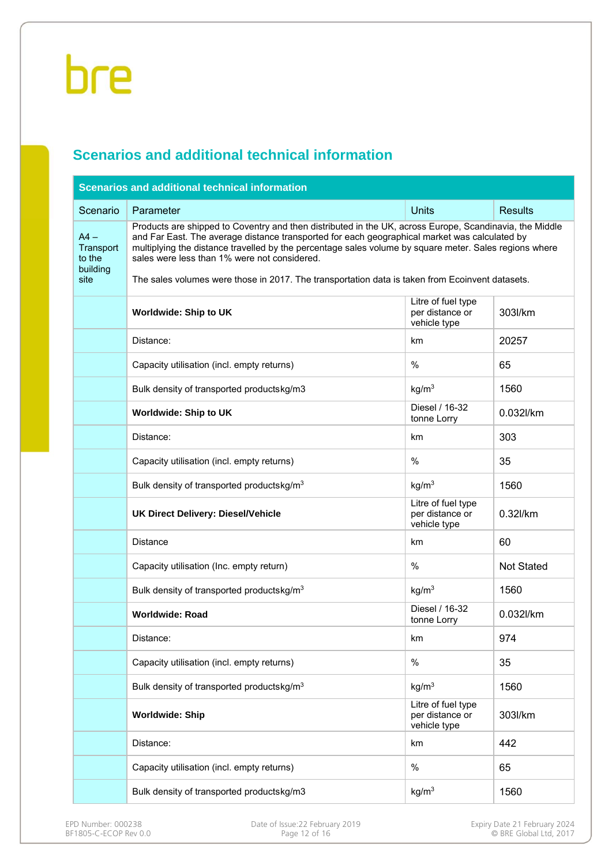#### **Scenarios and additional technical information**

| <b>Scenarios and additional technical information</b> |                                                                                                                                                                                                                                                                                                                                                                                                                                                                       |                                                       |                   |  |  |  |  |  |  |
|-------------------------------------------------------|-----------------------------------------------------------------------------------------------------------------------------------------------------------------------------------------------------------------------------------------------------------------------------------------------------------------------------------------------------------------------------------------------------------------------------------------------------------------------|-------------------------------------------------------|-------------------|--|--|--|--|--|--|
| Scenario                                              | Parameter                                                                                                                                                                                                                                                                                                                                                                                                                                                             | <b>Units</b>                                          | <b>Results</b>    |  |  |  |  |  |  |
| $AA -$<br>Transport<br>to the<br>building<br>site     | Products are shipped to Coventry and then distributed in the UK, across Europe, Scandinavia, the Middle<br>and Far East. The average distance transported for each geographical market was calculated by<br>multiplying the distance travelled by the percentage sales volume by square meter. Sales regions where<br>sales were less than 1% were not considered.<br>The sales volumes were those in 2017. The transportation data is taken from Ecoinvent datasets. |                                                       |                   |  |  |  |  |  |  |
|                                                       | Litre of fuel type<br>per distance or<br>303l/km<br><b>Worldwide: Ship to UK</b><br>vehicle type                                                                                                                                                                                                                                                                                                                                                                      |                                                       |                   |  |  |  |  |  |  |
|                                                       | Distance:                                                                                                                                                                                                                                                                                                                                                                                                                                                             | km                                                    | 20257             |  |  |  |  |  |  |
|                                                       | Capacity utilisation (incl. empty returns)                                                                                                                                                                                                                                                                                                                                                                                                                            | %                                                     | 65                |  |  |  |  |  |  |
|                                                       | Bulk density of transported productskg/m3                                                                                                                                                                                                                                                                                                                                                                                                                             | kg/m <sup>3</sup>                                     | 1560              |  |  |  |  |  |  |
|                                                       | Worldwide: Ship to UK                                                                                                                                                                                                                                                                                                                                                                                                                                                 | Diesel / 16-32<br>tonne Lorry                         | 0.032l/km         |  |  |  |  |  |  |
|                                                       | Distance:                                                                                                                                                                                                                                                                                                                                                                                                                                                             | km                                                    | 303               |  |  |  |  |  |  |
|                                                       | Capacity utilisation (incl. empty returns)                                                                                                                                                                                                                                                                                                                                                                                                                            | $\%$                                                  | 35                |  |  |  |  |  |  |
|                                                       | Bulk density of transported productskg/m <sup>3</sup>                                                                                                                                                                                                                                                                                                                                                                                                                 | 1560                                                  |                   |  |  |  |  |  |  |
|                                                       | <b>UK Direct Delivery: Diesel/Vehicle</b>                                                                                                                                                                                                                                                                                                                                                                                                                             | Litre of fuel type<br>per distance or<br>vehicle type | 0.32l/km          |  |  |  |  |  |  |
|                                                       | <b>Distance</b>                                                                                                                                                                                                                                                                                                                                                                                                                                                       | km                                                    | 60                |  |  |  |  |  |  |
|                                                       | Capacity utilisation (Inc. empty return)                                                                                                                                                                                                                                                                                                                                                                                                                              | %                                                     | <b>Not Stated</b> |  |  |  |  |  |  |
|                                                       | Bulk density of transported productskg/m <sup>3</sup>                                                                                                                                                                                                                                                                                                                                                                                                                 | kg/m <sup>3</sup>                                     | 1560              |  |  |  |  |  |  |
|                                                       | <b>Worldwide: Road</b>                                                                                                                                                                                                                                                                                                                                                                                                                                                | Diesel / 16-32<br>tonne Lorry                         | 0.032l/km         |  |  |  |  |  |  |
|                                                       | Distance:                                                                                                                                                                                                                                                                                                                                                                                                                                                             | km                                                    | 974               |  |  |  |  |  |  |
|                                                       | Capacity utilisation (incl. empty returns)                                                                                                                                                                                                                                                                                                                                                                                                                            | %                                                     | 35                |  |  |  |  |  |  |
|                                                       | Bulk density of transported productskg/m <sup>3</sup>                                                                                                                                                                                                                                                                                                                                                                                                                 | kg/m <sup>3</sup>                                     | 1560              |  |  |  |  |  |  |
|                                                       | <b>Worldwide: Ship</b>                                                                                                                                                                                                                                                                                                                                                                                                                                                | Litre of fuel type<br>per distance or<br>vehicle type | 303l/km           |  |  |  |  |  |  |
|                                                       | Distance:                                                                                                                                                                                                                                                                                                                                                                                                                                                             | km                                                    | 442               |  |  |  |  |  |  |
|                                                       | Capacity utilisation (incl. empty returns)                                                                                                                                                                                                                                                                                                                                                                                                                            | %                                                     | 65                |  |  |  |  |  |  |
|                                                       | Bulk density of transported productskg/m3                                                                                                                                                                                                                                                                                                                                                                                                                             | kg/m <sup>3</sup>                                     | 1560              |  |  |  |  |  |  |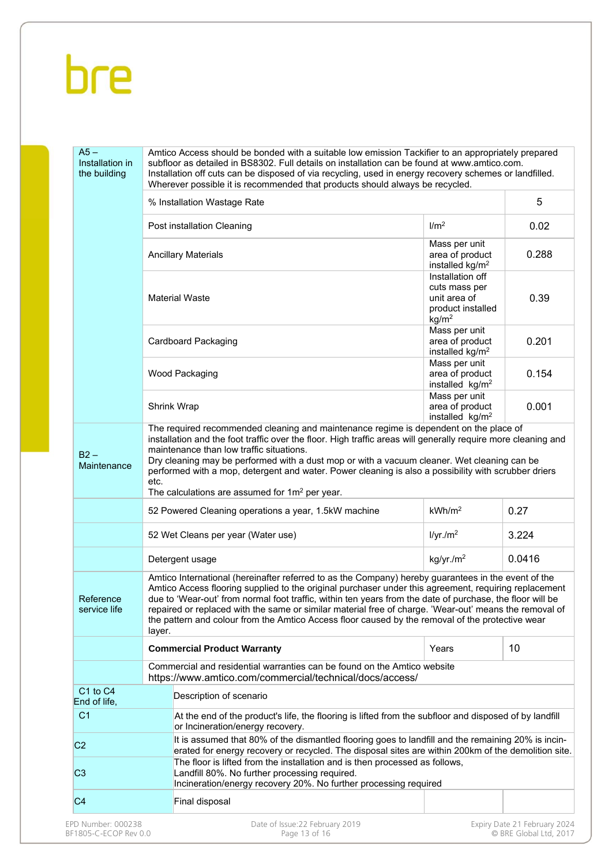| $A5 -$<br>Installation in<br>the building | Amtico Access should be bonded with a suitable low emission Tackifier to an appropriately prepared<br>subfloor as detailed in BS8302. Full details on installation can be found at www.amtico.com.<br>Installation off cuts can be disposed of via recycling, used in energy recovery schemes or landfilled.<br>Wherever possible it is recommended that products should always be recycled.                                                                                                                                                      |                                                                                             |                              |
|-------------------------------------------|---------------------------------------------------------------------------------------------------------------------------------------------------------------------------------------------------------------------------------------------------------------------------------------------------------------------------------------------------------------------------------------------------------------------------------------------------------------------------------------------------------------------------------------------------|---------------------------------------------------------------------------------------------|------------------------------|
|                                           | % Installation Wastage Rate                                                                                                                                                                                                                                                                                                                                                                                                                                                                                                                       |                                                                                             | 5                            |
|                                           | Post installation Cleaning                                                                                                                                                                                                                                                                                                                                                                                                                                                                                                                        | 1/m <sup>2</sup>                                                                            | 0.02                         |
|                                           | <b>Ancillary Materials</b>                                                                                                                                                                                                                                                                                                                                                                                                                                                                                                                        | Mass per unit<br>area of product<br>installed $kg/m2$                                       | 0.288                        |
|                                           | <b>Material Waste</b>                                                                                                                                                                                                                                                                                                                                                                                                                                                                                                                             | Installation off<br>cuts mass per<br>unit area of<br>product installed<br>kg/m <sup>2</sup> | 0.39                         |
|                                           | Cardboard Packaging                                                                                                                                                                                                                                                                                                                                                                                                                                                                                                                               | Mass per unit<br>area of product<br>installed kg/m <sup>2</sup>                             | 0.201                        |
|                                           | Wood Packaging                                                                                                                                                                                                                                                                                                                                                                                                                                                                                                                                    | Mass per unit<br>area of product<br>installed kg/m <sup>2</sup>                             | 0.154                        |
|                                           | <b>Shrink Wrap</b><br>The required recommended cleaning and maintenance regime is dependent on the place of                                                                                                                                                                                                                                                                                                                                                                                                                                       | Mass per unit<br>area of product<br>installed kg/m <sup>2</sup>                             | 0.001                        |
| Maintenance                               | performed with a mop, detergent and water. Power cleaning is also a possibility with scrubber driers<br>etc.<br>The calculations are assumed for $1m^2$ per year.<br>52 Powered Cleaning operations a year, 1.5kW machine                                                                                                                                                                                                                                                                                                                         | kWh/m <sup>2</sup>                                                                          | 0.27                         |
|                                           | 52 Wet Cleans per year (Water use)                                                                                                                                                                                                                                                                                                                                                                                                                                                                                                                | I/yr./m <sup>2</sup>                                                                        | 3.224                        |
|                                           | Detergent usage                                                                                                                                                                                                                                                                                                                                                                                                                                                                                                                                   | kg/yr./m <sup>2</sup>                                                                       | 0.0416                       |
| Reference<br>service life                 | Amtico International (hereinafter referred to as the Company) hereby guarantees in the event of the<br>Amtico Access flooring supplied to the original purchaser under this agreement, requiring replacement<br>due to 'Wear-out' from normal foot traffic, within ten years from the date of purchase, the floor will be<br>repaired or replaced with the same or similar material free of charge. 'Wear-out' means the removal of<br>the pattern and colour from the Amtico Access floor caused by the removal of the protective wear<br>layer. |                                                                                             |                              |
|                                           | <b>Commercial Product Warranty</b>                                                                                                                                                                                                                                                                                                                                                                                                                                                                                                                | Years                                                                                       | 10                           |
|                                           | Commercial and residential warranties can be found on the Amtico website<br>https://www.amtico.com/commercial/technical/docs/access/                                                                                                                                                                                                                                                                                                                                                                                                              |                                                                                             |                              |
| C1 to C4<br>End of life,                  | Description of scenario                                                                                                                                                                                                                                                                                                                                                                                                                                                                                                                           |                                                                                             |                              |
| C <sub>1</sub>                            | At the end of the product's life, the flooring is lifted from the subfloor and disposed of by landfill<br>or Incineration/energy recovery.                                                                                                                                                                                                                                                                                                                                                                                                        |                                                                                             |                              |
| C <sub>2</sub><br>C <sub>3</sub>          | It is assumed that 80% of the dismantled flooring goes to landfill and the remaining 20% is incin-<br>erated for energy recovery or recycled. The disposal sites are within 200km of the demolition site.<br>The floor is lifted from the installation and is then processed as follows,<br>Landfill 80%. No further processing required.<br>Incineration/energy recovery 20%. No further processing required                                                                                                                                     |                                                                                             |                              |
| C <sub>4</sub>                            | Final disposal                                                                                                                                                                                                                                                                                                                                                                                                                                                                                                                                    |                                                                                             |                              |
| EPD Number: 000238                        | Date of Issue:22 February 2019                                                                                                                                                                                                                                                                                                                                                                                                                                                                                                                    |                                                                                             | Expiry Date 21 February 2024 |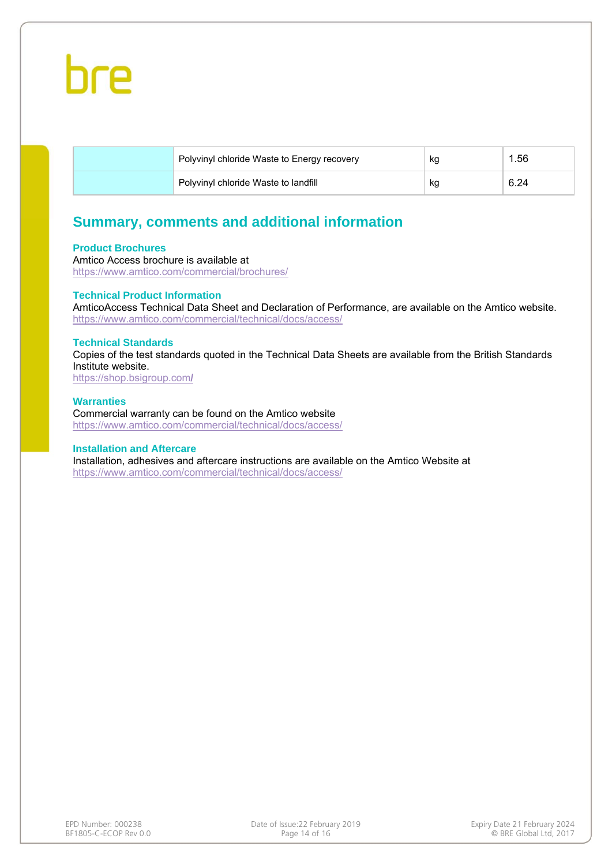

| Polyvinyl chloride Waste to Energy recovery | кg | . 56 |
|---------------------------------------------|----|------|
| Polyvinyl chloride Waste to landfill        | кg | 6.24 |

#### **Summary, comments and additional information**

#### **Product Brochures**

Amtico Access brochure is available at https://www.amtico.com/commercial/brochures/

#### **Technical Product Information**

AmticoAccess Technical Data Sheet and Declaration of Performance, are available on the Amtico website. https://www.amtico.com/commercial/technical/docs/access/

#### **Technical Standards**

Copies of the test standards quoted in the Technical Data Sheets are available from the British Standards Institute website.

https://shop.bsigroup.com**/** 

#### **Warranties**

Commercial warranty can be found on the Amtico website https://www.amtico.com/commercial/technical/docs/access/

#### **Installation and Aftercare**

Installation, adhesives and aftercare instructions are available on the Amtico Website at https://www.amtico.com/commercial/technical/docs/access/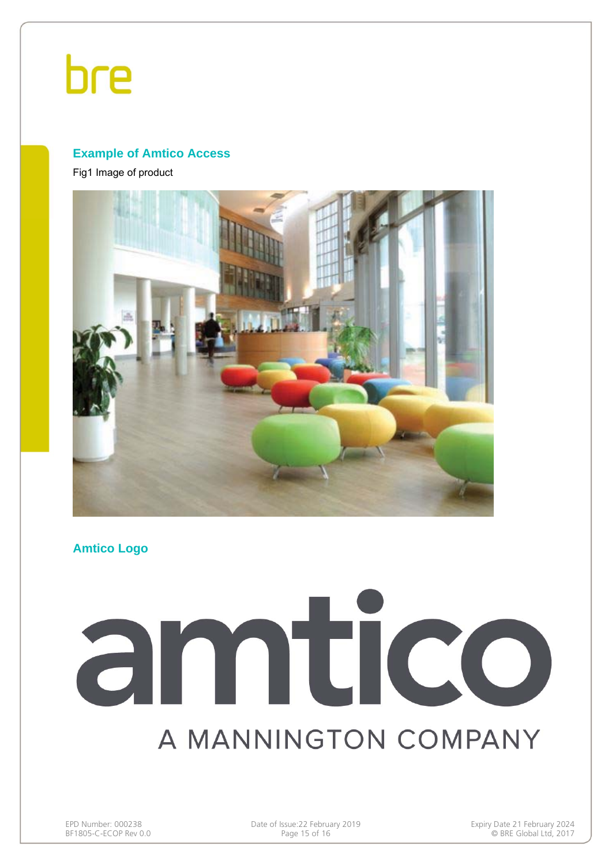#### **Example of Amtico Access**

Fig1 Image of product



**Amtico Logo** 

# amtico A MANNINGTON COMPANY

EPD Number: 000238 Date of Issue:22 February 2019<br>BF1805-C-ECOP Rev 0.0 Page 15 of 16 Page 15 of 16 Page 15 of 16 Page 15 of 16

 $\odot$  BRE Global Ltd, 2017